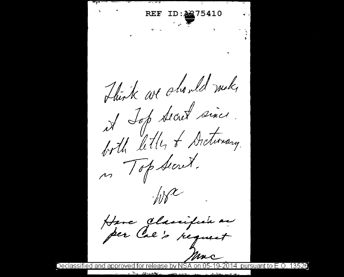<u> De Carlo Company - De Ca</u> ID:2275410  $\sum_{i=1}^{n}$ Hurk we should mek it Jop Secret since. both letter of Arctionary. n Top Secret.  $W^{\chi}$ Have Classifien as mac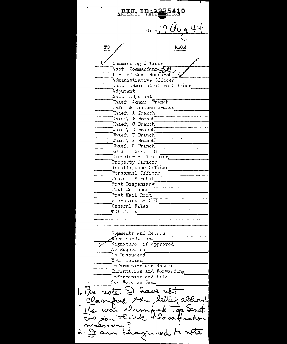AREET JP & A Date  $\underline{\text{TO}}$ FROM Commanding Officer Asst Commandant Dir of Com Research Administrative Officer Asst Administrative Officer Adjutant Asst Adjutant Chief, Admin Branch Info & Liaison Branch Chief, A Branch Chief, B Branch Chief, C Branch Cnief, D Branch Chief, E Branch Chief, F Branch  $\mathbf{r}$ Chief, G Branch 2d Sig Serv Bn Director of Training Property Officer Intelligence Officer Personnel Officer Provost Marshal Post Dispensary Post Engineer Post Mail Room becretary to CO General Files **201 Files** Comments and Return Reconmendations Signature, if approved As Requested As Discussed Your action Information and Return Information and Forwarding Information and File Seo Note on Back 1. Pre note  $\Rightarrow$  have not Classified Hois letter, abhought whed Too Sent.  $\lambda$  was elas Vilan think chagund  $3.9$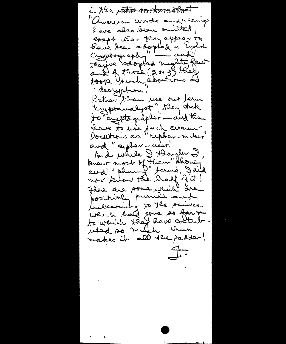in the rate for top of foat auerican words and wearings have also been smitted, exapt when they appear to have been adopted in English they're adopted mighty few auk of those (2 or 39 they took Vouch abortions as "decryption" Kather than use out term "cyptamalyst", they stake to cryptographer - and then have to use such ceraun and "auphor-riset" And while I Harryll In knew most of Flien" Ahong aud'" phummy" termes, Daid not know the half of I? Have are some rethich are positively puerile and indecomming to the saince which had gone so farge to wenide they have content makes it all the padder!